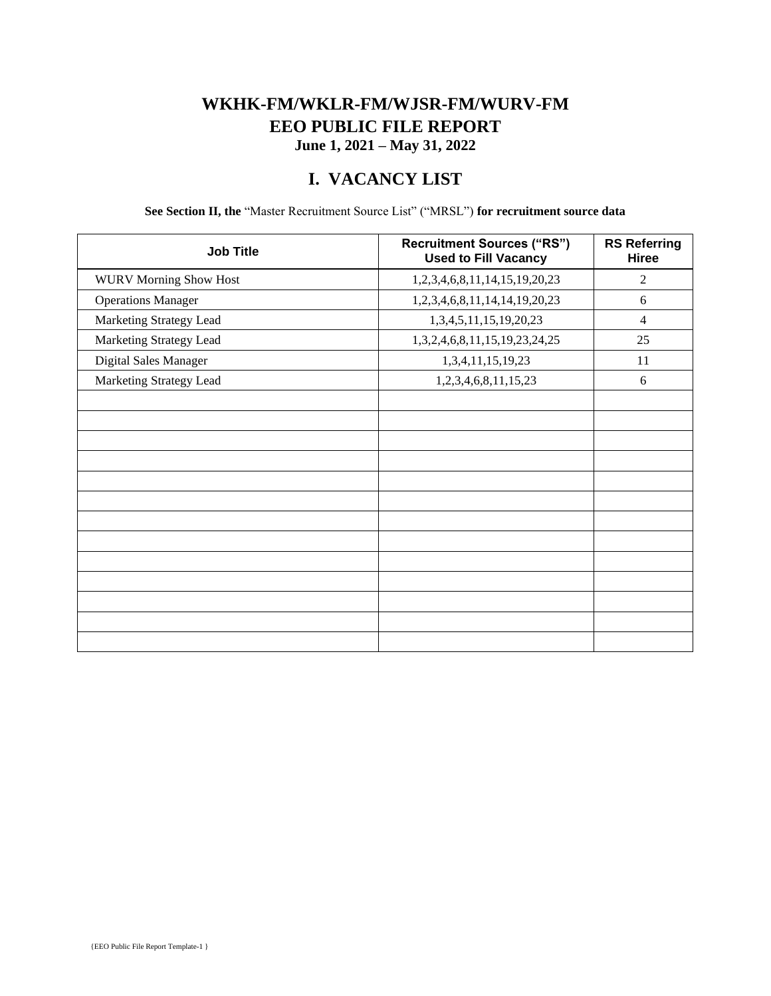### **WKHK-FM/WKLR-FM/WJSR-FM/WURV-FM EEO PUBLIC FILE REPORT June 1, 2021 – May 31, 2022**

## **I. VACANCY LIST**

**See Section II, the** "Master Recruitment Source List" ("MRSL") **for recruitment source data**

| <b>Job Title</b>              | <b>Recruitment Sources ("RS")</b><br><b>Used to Fill Vacancy</b> | <b>RS Referring</b><br>Hiree |
|-------------------------------|------------------------------------------------------------------|------------------------------|
| <b>WURV Morning Show Host</b> | 1,2,3,4,6,8,11,14,15,19,20,23                                    | 2                            |
| <b>Operations Manager</b>     | 1,2,3,4,6,8,11,14,14,19,20,23                                    | 6                            |
| Marketing Strategy Lead       | 1,3,4,5,11,15,19,20,23                                           | $\overline{4}$               |
| Marketing Strategy Lead       | 1,3,2,4,6,8,11,15,19,23,24,25                                    | 25                           |
| Digital Sales Manager         | 1,3,4,11,15,19,23                                                | 11                           |
| Marketing Strategy Lead       | 1,2,3,4,6,8,11,15,23                                             | 6                            |
|                               |                                                                  |                              |
|                               |                                                                  |                              |
|                               |                                                                  |                              |
|                               |                                                                  |                              |
|                               |                                                                  |                              |
|                               |                                                                  |                              |
|                               |                                                                  |                              |
|                               |                                                                  |                              |
|                               |                                                                  |                              |
|                               |                                                                  |                              |
|                               |                                                                  |                              |
|                               |                                                                  |                              |
|                               |                                                                  |                              |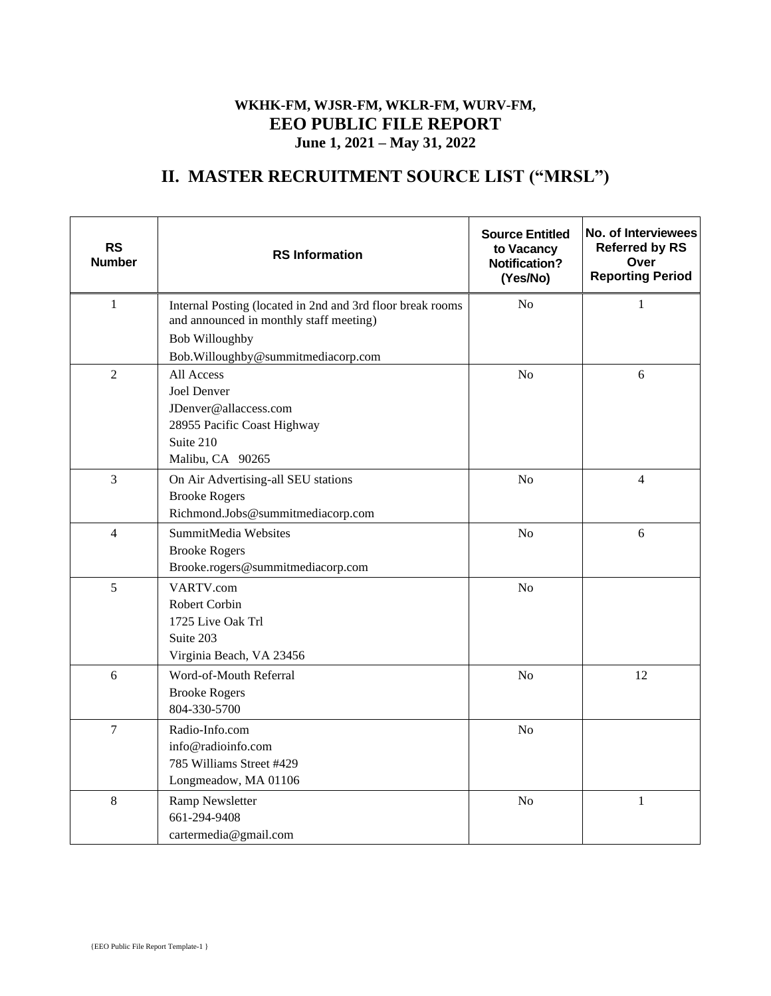#### **WKHK-FM, WJSR-FM, WKLR-FM, WURV-FM, EEO PUBLIC FILE REPORT June 1, 2021 – May 31, 2022**

# **II. MASTER RECRUITMENT SOURCE LIST ("MRSL")**

| <b>RS</b><br><b>Number</b> | <b>RS</b> Information                                                                                                                                    | <b>Source Entitled</b><br>to Vacancy<br><b>Notification?</b><br>(Yes/No) | No. of Interviewees<br><b>Referred by RS</b><br>Over<br><b>Reporting Period</b> |
|----------------------------|----------------------------------------------------------------------------------------------------------------------------------------------------------|--------------------------------------------------------------------------|---------------------------------------------------------------------------------|
| $\mathbf{1}$               | Internal Posting (located in 2nd and 3rd floor break rooms<br>and announced in monthly staff meeting)<br><b>Bob Willoughby</b>                           | No                                                                       | $\mathbf{1}$                                                                    |
| $\overline{2}$             | Bob.Willoughby@summitmediacorp.com<br>All Access<br>Joel Denver<br>JDenver@allaccess.com<br>28955 Pacific Coast Highway<br>Suite 210<br>Malibu, CA 90265 | N <sub>o</sub>                                                           | 6                                                                               |
| 3                          | On Air Advertising-all SEU stations<br><b>Brooke Rogers</b><br>Richmond.Jobs@summitmediacorp.com                                                         | N <sub>o</sub>                                                           | $\overline{4}$                                                                  |
| $\overline{4}$             | SummitMedia Websites<br><b>Brooke Rogers</b><br>Brooke.rogers@summitmediacorp.com                                                                        | N <sub>o</sub>                                                           | 6                                                                               |
| 5                          | VARTV.com<br><b>Robert Corbin</b><br>1725 Live Oak Trl<br>Suite 203<br>Virginia Beach, VA 23456                                                          | N <sub>o</sub>                                                           |                                                                                 |
| 6                          | Word-of-Mouth Referral<br><b>Brooke Rogers</b><br>804-330-5700                                                                                           | N <sub>o</sub>                                                           | 12                                                                              |
| 7                          | Radio-Info.com<br>info@radioinfo.com<br>785 Williams Street #429<br>Longmeadow, MA 01106                                                                 | N <sub>o</sub>                                                           |                                                                                 |
| 8                          | Ramp Newsletter<br>661-294-9408<br>cartermedia@gmail.com                                                                                                 | N <sub>o</sub>                                                           | $\mathbf{1}$                                                                    |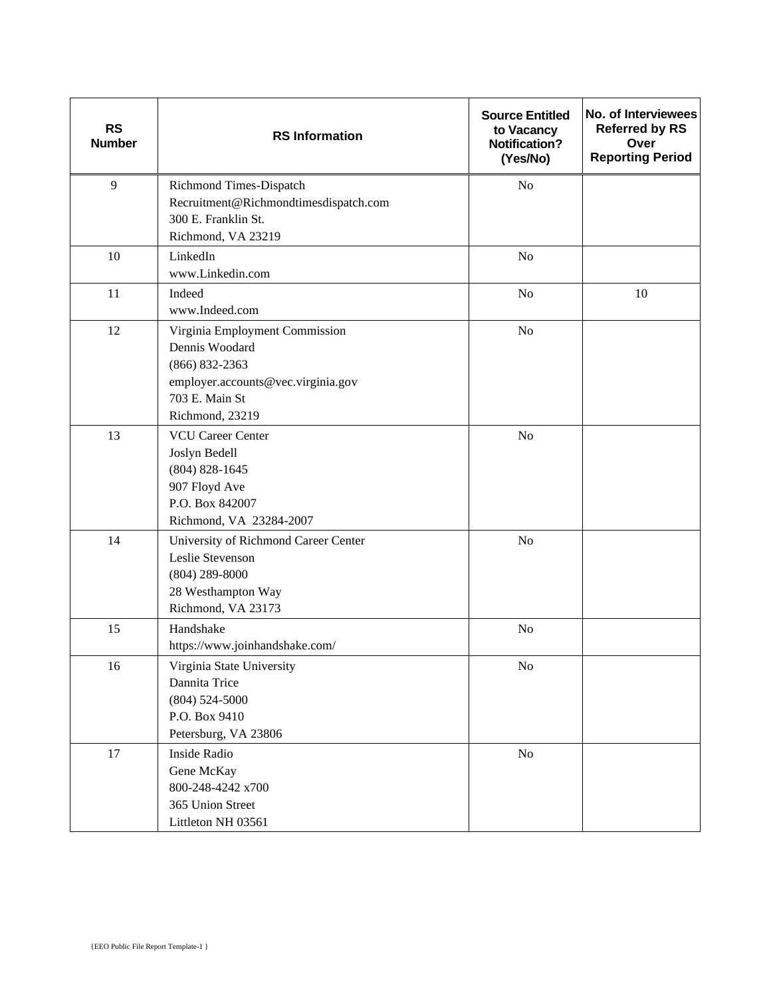| <b>RS</b><br><b>Number</b> | <b>RS</b> Information                            | <b>Source Entitled</b><br>to Vacancy<br>Notification?<br>(Yes/No) | No. of Interviewees<br><b>Referred by RS</b><br>Over<br><b>Reporting Period</b> |
|----------------------------|--------------------------------------------------|-------------------------------------------------------------------|---------------------------------------------------------------------------------|
| 9                          | Richmond Times-Dispatch                          | N <sub>o</sub>                                                    |                                                                                 |
|                            | Recruitment@Richmondtimesdispatch.com            |                                                                   |                                                                                 |
|                            | 300 E. Franklin St.                              |                                                                   |                                                                                 |
|                            | Richmond, VA 23219                               |                                                                   |                                                                                 |
| 10                         | LinkedIn<br>www.Linkedin.com                     | N <sub>o</sub>                                                    |                                                                                 |
|                            |                                                  |                                                                   |                                                                                 |
| 11                         | Indeed<br>www.Indeed.com                         | N <sub>o</sub>                                                    | 10                                                                              |
| 12                         |                                                  |                                                                   |                                                                                 |
|                            | Virginia Employment Commission<br>Dennis Woodard | N <sub>o</sub>                                                    |                                                                                 |
|                            | $(866) 832 - 2363$                               |                                                                   |                                                                                 |
|                            | employer.accounts@vec.virginia.gov               |                                                                   |                                                                                 |
|                            | 703 E. Main St                                   |                                                                   |                                                                                 |
|                            | Richmond, 23219                                  |                                                                   |                                                                                 |
| 13                         | <b>VCU Career Center</b>                         | N <sub>o</sub>                                                    |                                                                                 |
|                            | Joslyn Bedell                                    |                                                                   |                                                                                 |
|                            | $(804) 828 - 1645$                               |                                                                   |                                                                                 |
|                            | 907 Floyd Ave                                    |                                                                   |                                                                                 |
|                            | P.O. Box 842007                                  |                                                                   |                                                                                 |
|                            | Richmond, VA 23284-2007                          |                                                                   |                                                                                 |
| 14                         | University of Richmond Career Center             | N <sub>o</sub>                                                    |                                                                                 |
|                            | Leslie Stevenson                                 |                                                                   |                                                                                 |
|                            | $(804)$ 289-8000<br>28 Westhampton Way           |                                                                   |                                                                                 |
|                            | Richmond, VA 23173                               |                                                                   |                                                                                 |
| 15                         | Handshake                                        | N <sub>o</sub>                                                    |                                                                                 |
|                            | https://www.joinhandshake.com/                   |                                                                   |                                                                                 |
| 16                         | Virginia State University                        | N <sub>0</sub>                                                    |                                                                                 |
|                            | Dannita Trice                                    |                                                                   |                                                                                 |
|                            | $(804) 524 - 5000$                               |                                                                   |                                                                                 |
|                            | P.O. Box 9410                                    |                                                                   |                                                                                 |
|                            | Petersburg, VA 23806                             |                                                                   |                                                                                 |
| 17                         | Inside Radio                                     | $\rm No$                                                          |                                                                                 |
|                            | Gene McKay                                       |                                                                   |                                                                                 |
|                            | 800-248-4242 x700                                |                                                                   |                                                                                 |
|                            | 365 Union Street                                 |                                                                   |                                                                                 |
|                            | Littleton NH 03561                               |                                                                   |                                                                                 |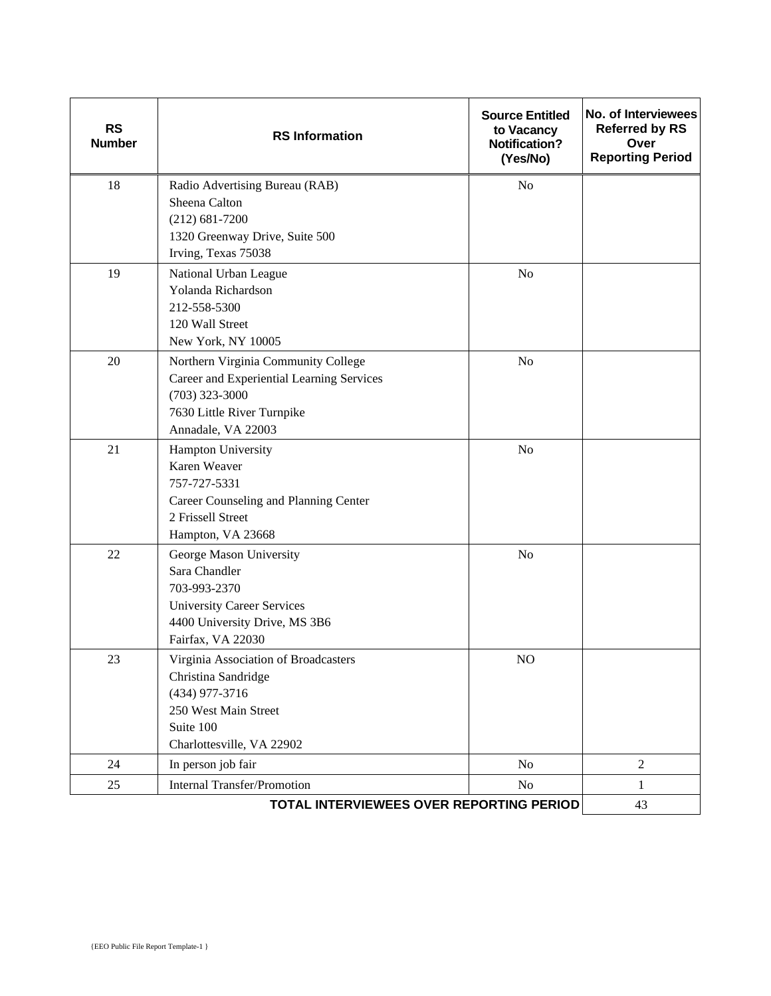| <b>RS</b><br><b>Number</b> | <b>RS</b> Information                                                                                                                                    | <b>Source Entitled</b><br>to Vacancy<br><b>Notification?</b><br>(Yes/No) | No. of Interviewees<br><b>Referred by RS</b><br>Over<br><b>Reporting Period</b> |
|----------------------------|----------------------------------------------------------------------------------------------------------------------------------------------------------|--------------------------------------------------------------------------|---------------------------------------------------------------------------------|
| 18                         | Radio Advertising Bureau (RAB)<br>Sheena Calton<br>$(212) 681 - 7200$<br>1320 Greenway Drive, Suite 500<br>Irving, Texas 75038                           | N <sub>o</sub>                                                           |                                                                                 |
| 19                         | National Urban League<br>Yolanda Richardson<br>212-558-5300<br>120 Wall Street<br>New York, NY 10005                                                     | N <sub>o</sub>                                                           |                                                                                 |
| 20                         | Northern Virginia Community College<br>Career and Experiential Learning Services<br>$(703)$ 323-3000<br>7630 Little River Turnpike<br>Annadale, VA 22003 | N <sub>o</sub>                                                           |                                                                                 |
| 21                         | Hampton University<br>Karen Weaver<br>757-727-5331<br>Career Counseling and Planning Center<br>2 Frissell Street<br>Hampton, VA 23668                    | N <sub>o</sub>                                                           |                                                                                 |
| 22                         | George Mason University<br>Sara Chandler<br>703-993-2370<br><b>University Career Services</b><br>4400 University Drive, MS 3B6<br>Fairfax, VA 22030      | No                                                                       |                                                                                 |
| 23                         | Virginia Association of Broadcasters<br>Christina Sandridge<br>(434) 977-3716<br>250 West Main Street<br>Suite 100<br>Charlottesville, VA 22902          | N <sub>O</sub>                                                           |                                                                                 |
| 24                         | In person job fair                                                                                                                                       | No                                                                       | $\overline{2}$                                                                  |
| 25                         | <b>Internal Transfer/Promotion</b>                                                                                                                       | No                                                                       | 1                                                                               |
|                            | <b>TOTAL INTERVIEWEES OVER REPORTING PERIOD</b>                                                                                                          |                                                                          | 43                                                                              |